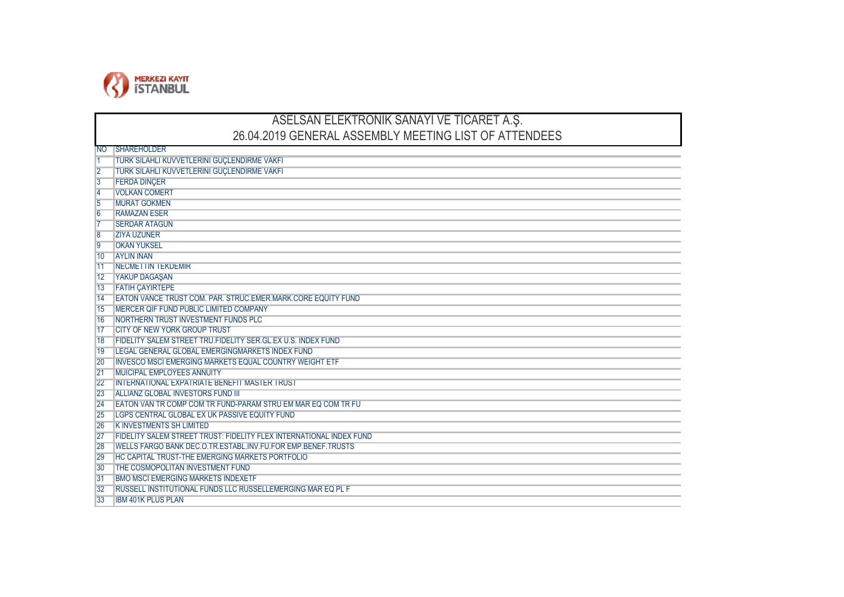

## ASELSAN ELEKTRONİK SANAYİ VE TİCARET A.Ş. 26.04.2019 GENERAL ASSEMBLY MEETING LIST OF ATTENDEES

| 'NO             | <b>ISHAREHOLDER</b>                                                 |
|-----------------|---------------------------------------------------------------------|
|                 | TURK SILAHLI KUVVETLERINI GUÇLENDIRME VAKFI                         |
| $\overline{2}$  | TURK SILAHLI KUVVETLERINI GUÇLENDIRME VAKFI                         |
| $\overline{3}$  | <b>FERDA DINÇER</b>                                                 |
| $\overline{4}$  | <b>VOLKAN COMERT</b>                                                |
| $\overline{5}$  | <b>MURAT GOKMEN</b>                                                 |
| $6\overline{6}$ | <b>RAMAZAN ESER</b>                                                 |
|                 | <b>SERDAR ATAGUN</b>                                                |
| $\overline{8}$  | <b>ZIYA UZUNER</b>                                                  |
| $\overline{9}$  | <b>OKAN YUKSEL</b>                                                  |
| 10              | <b>AYLIN INAN</b>                                                   |
| 11              | <b>NECMETTIN TEKDEMIR</b>                                           |
| 12              | <b>YAKUP DAGASAN</b>                                                |
| 13              | <b>FATIH ÇAYIRTEPE</b>                                              |
| 14              | EATON VANCE TRUST COM, PAR, STRUC, EMER, MARK, CORE EQUITY FUND     |
| 15              | MERCER QIF FUND PUBLIC LIMITED COMPANY                              |
| 16              | <b>NORTHERN TRUST INVESTMENT FUNDS PLC</b>                          |
| 17              | CITY OF NEW YORK GROUP TRUST                                        |
| 18              | <b>FIDELITY SALEM STREET TRU.FIDELITY SER.GL.EX U.S. INDEX FUND</b> |
| 19              | LEGAL GENERAL GLOBAL EMERGINGMARKETS INDEX FUND                     |
| 20              | <b>INVESCO MSCI EMERGING MARKETS EQUAL COUNTRY WEIGHT ETF</b>       |
| 21              | <b>MUICIPAL EMPLOYEES ANNUITY</b>                                   |
| 22              | <b>INTERNATIONAL EXPATRIATE BENEFIT MASTER TRUST</b>                |
| 23              | ALLIANZ GLOBAL INVESTORS FUND III                                   |
| 24              | EATON VAN TR COMP COM TR FUND-PARAM STRU EM MAR EQ COM TR FU        |
| 25              | LGPS CENTRAL GLOBAL EX UK PASSIVE EQUITY FUND                       |
| 26              | <b>KINVESTMENTS SH LIMITED</b>                                      |
| 27              | FIDELITY SALEM STREET TRUST: FIDELITY FLEX INTERNATIONAL INDEX FUND |
| 28              | WELLS FARGO BANK DEC.O.TR.ESTABL.INV.FU.FOR EMP.BENEF.TRUSTS        |
| 29              | <b>HC CAPITAL TRUST-THE EMERGING MARKETS PORTFOLIO</b>              |
| 30              | <b>ITHE COSMOPOLITAN INVESTMENT FUND</b>                            |
| 31              | <b>BMO MSCI EMERGING MARKETS INDEXETF</b>                           |
| 32              | RUSSELL INSTITUTIONAL FUNDS LLC RUSSELLEMERGING MAR EQ PL F         |
| 33              | <b>IBM 401K PLUS PLAN</b>                                           |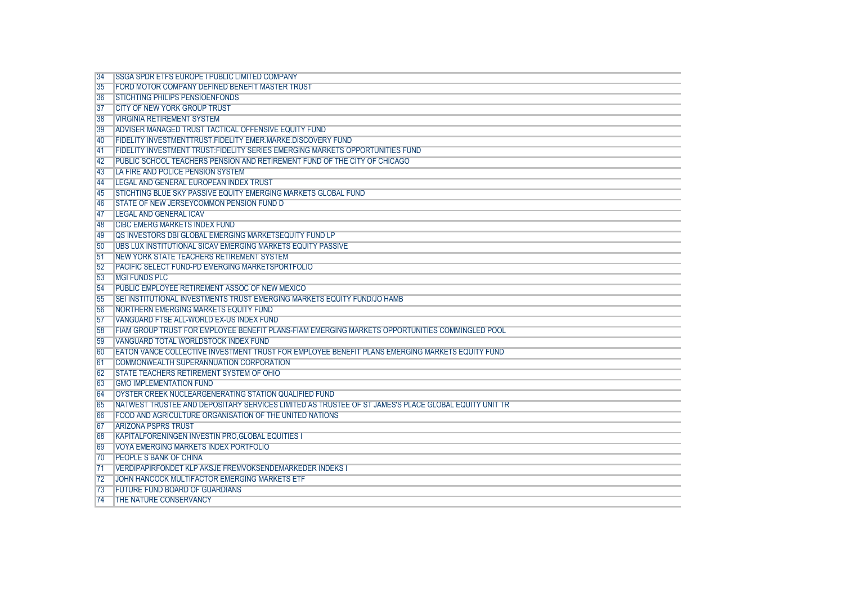| <b>SSGA SPDR ETFS EUROPE I PUBLIC LIMITED COMPANY</b><br>FORD MOTOR COMPANY DEFINED BENEFIT MASTER TRUST<br><b>STICHTING PHILIPS PENSIOENFONDS</b><br><b>ICITY OF NEW YORK GROUP TRUST</b><br><b>VIRGINIA RETIREMENT SYSTEM</b><br><b>IADVISER MANAGED TRUST TACTICAL OFFENSIVE EQUITY FUND</b><br><b>FIDELITY INVESTMENTTRUST.FIDELITY EMER.MARKE.DISCOVERY FUND</b><br><b>FIDELITY INVESTMENT TRUST:FIDELITY SERIES EMERGING MARKETS OPPORTUNITIES FUND</b><br><b>IPUBLIC SCHOOL TEACHERS PENSION AND RETIREMENT FUND OF THE CITY OF CHICAGO</b><br>LA FIRE AND POLICE PENSION SYSTEM<br>LEGAL AND GENERAL EUROPEAN INDEX TRUST<br>STICHTING BLUE SKY PASSIVE EQUITY EMERGING MARKETS GLOBAL FUND<br>STATE OF NEW JERSEYCOMMON PENSION FUND D<br><b>LEGAL AND GENERAL ICAV</b><br><b>CIBC EMERG MARKETS INDEX FUND</b><br>OS INVESTORS DBI GLOBAL EMERGING MARKETSEQUITY FUND LP<br>UBS LUX INSTITUTIONAL SICAV EMERGING MARKETS EQUITY PASSIVE<br><b>NEW YORK STATE TEACHERS RETIREMENT SYSTEM</b><br>PACIFIC SELECT FUND-PD EMERGING MARKETSPORTFOLIO |
|-----------------------------------------------------------------------------------------------------------------------------------------------------------------------------------------------------------------------------------------------------------------------------------------------------------------------------------------------------------------------------------------------------------------------------------------------------------------------------------------------------------------------------------------------------------------------------------------------------------------------------------------------------------------------------------------------------------------------------------------------------------------------------------------------------------------------------------------------------------------------------------------------------------------------------------------------------------------------------------------------------------------------------------------------------------|
|                                                                                                                                                                                                                                                                                                                                                                                                                                                                                                                                                                                                                                                                                                                                                                                                                                                                                                                                                                                                                                                           |
|                                                                                                                                                                                                                                                                                                                                                                                                                                                                                                                                                                                                                                                                                                                                                                                                                                                                                                                                                                                                                                                           |
|                                                                                                                                                                                                                                                                                                                                                                                                                                                                                                                                                                                                                                                                                                                                                                                                                                                                                                                                                                                                                                                           |
|                                                                                                                                                                                                                                                                                                                                                                                                                                                                                                                                                                                                                                                                                                                                                                                                                                                                                                                                                                                                                                                           |
|                                                                                                                                                                                                                                                                                                                                                                                                                                                                                                                                                                                                                                                                                                                                                                                                                                                                                                                                                                                                                                                           |
|                                                                                                                                                                                                                                                                                                                                                                                                                                                                                                                                                                                                                                                                                                                                                                                                                                                                                                                                                                                                                                                           |
|                                                                                                                                                                                                                                                                                                                                                                                                                                                                                                                                                                                                                                                                                                                                                                                                                                                                                                                                                                                                                                                           |
|                                                                                                                                                                                                                                                                                                                                                                                                                                                                                                                                                                                                                                                                                                                                                                                                                                                                                                                                                                                                                                                           |
|                                                                                                                                                                                                                                                                                                                                                                                                                                                                                                                                                                                                                                                                                                                                                                                                                                                                                                                                                                                                                                                           |
|                                                                                                                                                                                                                                                                                                                                                                                                                                                                                                                                                                                                                                                                                                                                                                                                                                                                                                                                                                                                                                                           |
|                                                                                                                                                                                                                                                                                                                                                                                                                                                                                                                                                                                                                                                                                                                                                                                                                                                                                                                                                                                                                                                           |
|                                                                                                                                                                                                                                                                                                                                                                                                                                                                                                                                                                                                                                                                                                                                                                                                                                                                                                                                                                                                                                                           |
|                                                                                                                                                                                                                                                                                                                                                                                                                                                                                                                                                                                                                                                                                                                                                                                                                                                                                                                                                                                                                                                           |
|                                                                                                                                                                                                                                                                                                                                                                                                                                                                                                                                                                                                                                                                                                                                                                                                                                                                                                                                                                                                                                                           |
|                                                                                                                                                                                                                                                                                                                                                                                                                                                                                                                                                                                                                                                                                                                                                                                                                                                                                                                                                                                                                                                           |
|                                                                                                                                                                                                                                                                                                                                                                                                                                                                                                                                                                                                                                                                                                                                                                                                                                                                                                                                                                                                                                                           |
|                                                                                                                                                                                                                                                                                                                                                                                                                                                                                                                                                                                                                                                                                                                                                                                                                                                                                                                                                                                                                                                           |
|                                                                                                                                                                                                                                                                                                                                                                                                                                                                                                                                                                                                                                                                                                                                                                                                                                                                                                                                                                                                                                                           |
|                                                                                                                                                                                                                                                                                                                                                                                                                                                                                                                                                                                                                                                                                                                                                                                                                                                                                                                                                                                                                                                           |
| <b>IMGI FUNDS PLC</b>                                                                                                                                                                                                                                                                                                                                                                                                                                                                                                                                                                                                                                                                                                                                                                                                                                                                                                                                                                                                                                     |
| PUBLIC EMPLOYEE RETIREMENT ASSOC OF NEW MEXICO                                                                                                                                                                                                                                                                                                                                                                                                                                                                                                                                                                                                                                                                                                                                                                                                                                                                                                                                                                                                            |
| SELINSTITUTIONAL INVESTMENTS TRUST EMERGING MARKETS EQUITY FUND/JO HAMB                                                                                                                                                                                                                                                                                                                                                                                                                                                                                                                                                                                                                                                                                                                                                                                                                                                                                                                                                                                   |
| NORTHERN EMERGING MARKETS EQUITY FUND                                                                                                                                                                                                                                                                                                                                                                                                                                                                                                                                                                                                                                                                                                                                                                                                                                                                                                                                                                                                                     |
| VANGUARD FTSE ALL-WORLD EX-US INDEX FUND                                                                                                                                                                                                                                                                                                                                                                                                                                                                                                                                                                                                                                                                                                                                                                                                                                                                                                                                                                                                                  |
| FIAM GROUP TRUST FOR EMPLOYEE BENEFIT PLANS-FIAM EMERGING MARKETS OPPORTUNITIES COMMINGLED POOL                                                                                                                                                                                                                                                                                                                                                                                                                                                                                                                                                                                                                                                                                                                                                                                                                                                                                                                                                           |
| VANGUARD TOTAL WORLDSTOCK INDEX FUND                                                                                                                                                                                                                                                                                                                                                                                                                                                                                                                                                                                                                                                                                                                                                                                                                                                                                                                                                                                                                      |
| EATON VANCE COLLECTIVE INVESTMENT TRUST FOR EMPLOYEE BENEFIT PLANS EMERGING MARKETS EQUITY FUND                                                                                                                                                                                                                                                                                                                                                                                                                                                                                                                                                                                                                                                                                                                                                                                                                                                                                                                                                           |
| <b>COMMONWEALTH SUPERANNUATION CORPORATION</b>                                                                                                                                                                                                                                                                                                                                                                                                                                                                                                                                                                                                                                                                                                                                                                                                                                                                                                                                                                                                            |
| STATE TEACHERS RETIREMENT SYSTEM OF OHIO                                                                                                                                                                                                                                                                                                                                                                                                                                                                                                                                                                                                                                                                                                                                                                                                                                                                                                                                                                                                                  |
| <b>GMO IMPLEMENTATION FUND</b>                                                                                                                                                                                                                                                                                                                                                                                                                                                                                                                                                                                                                                                                                                                                                                                                                                                                                                                                                                                                                            |
| OYSTER CREEK NUCLEARGENERATING STATION QUALIFIED FUND                                                                                                                                                                                                                                                                                                                                                                                                                                                                                                                                                                                                                                                                                                                                                                                                                                                                                                                                                                                                     |
| NATWEST TRUSTEE AND DEPOSITARY SERVICES LIMITED AS TRUSTEE OF ST JAMES'S PLACE GLOBAL EQUITY UNIT TR                                                                                                                                                                                                                                                                                                                                                                                                                                                                                                                                                                                                                                                                                                                                                                                                                                                                                                                                                      |
| FOOD AND AGRICULTURE ORGANISATION OF THE UNITED NATIONS                                                                                                                                                                                                                                                                                                                                                                                                                                                                                                                                                                                                                                                                                                                                                                                                                                                                                                                                                                                                   |
| <b>ARIZONA PSPRS TRUST</b>                                                                                                                                                                                                                                                                                                                                                                                                                                                                                                                                                                                                                                                                                                                                                                                                                                                                                                                                                                                                                                |
| <b>KAPITALFORENINGEN INVESTIN PRO.GLOBAL EQUITIES I</b>                                                                                                                                                                                                                                                                                                                                                                                                                                                                                                                                                                                                                                                                                                                                                                                                                                                                                                                                                                                                   |
| <b>VOYA EMERGING MARKETS INDEX PORTFOLIO</b>                                                                                                                                                                                                                                                                                                                                                                                                                                                                                                                                                                                                                                                                                                                                                                                                                                                                                                                                                                                                              |
| <b>PEOPLE S BANK OF CHINA</b>                                                                                                                                                                                                                                                                                                                                                                                                                                                                                                                                                                                                                                                                                                                                                                                                                                                                                                                                                                                                                             |
| VERDIPAPIRFONDET KLP AKSJE FREMVOKSENDEMARKEDER INDEKS I                                                                                                                                                                                                                                                                                                                                                                                                                                                                                                                                                                                                                                                                                                                                                                                                                                                                                                                                                                                                  |
| JOHN HANCOCK MULTIFACTOR EMERGING MARKETS ETF                                                                                                                                                                                                                                                                                                                                                                                                                                                                                                                                                                                                                                                                                                                                                                                                                                                                                                                                                                                                             |
| <b>FUTURE FUND BOARD OF GUARDIANS</b>                                                                                                                                                                                                                                                                                                                                                                                                                                                                                                                                                                                                                                                                                                                                                                                                                                                                                                                                                                                                                     |
| THE NATURE CONSERVANCY                                                                                                                                                                                                                                                                                                                                                                                                                                                                                                                                                                                                                                                                                                                                                                                                                                                                                                                                                                                                                                    |
|                                                                                                                                                                                                                                                                                                                                                                                                                                                                                                                                                                                                                                                                                                                                                                                                                                                                                                                                                                                                                                                           |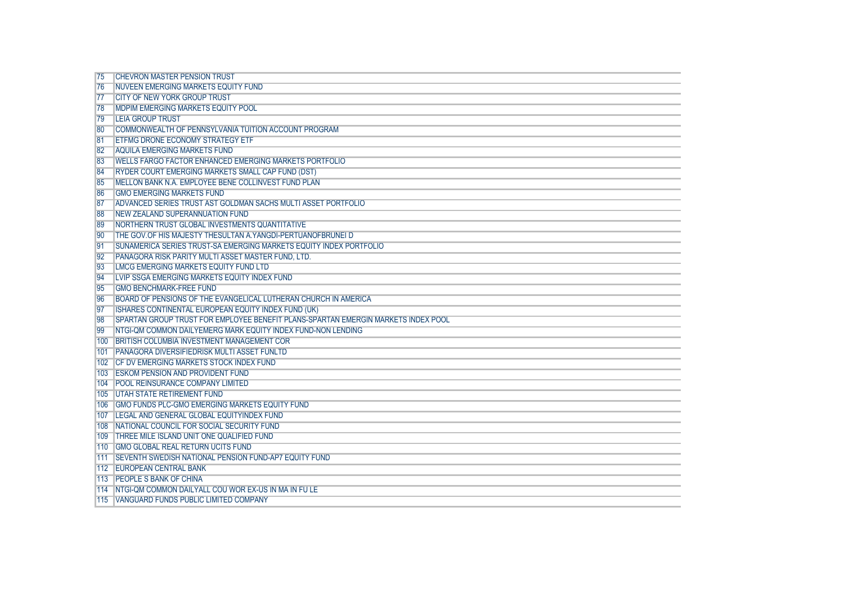|     | <b>CHEVRON MASTER PENSION TRUST</b>                                               |
|-----|-----------------------------------------------------------------------------------|
| 76  | <b>INUVEEN EMERGING MARKETS EQUITY FUND</b>                                       |
|     |                                                                                   |
| 77  | <b>ICITY OF NEW YORK GROUP TRUST</b>                                              |
| 78  | <b>IMDPIM EMERGING MARKETS EQUITY POOL</b>                                        |
| 79  | <b>LEIA GROUP TRUST</b>                                                           |
| 80  | <b>COMMONWEALTH OF PENNSYLVANIA TUITION ACCOUNT PROGRAM</b>                       |
| 81  | <b>ETFMG DRONE ECONOMY STRATEGY ETF</b>                                           |
| 82  | <b>AQUILA EMERGING MARKETS FUND</b>                                               |
| 83  | <b>WELLS FARGO FACTOR ENHANCED EMERGING MARKETS PORTFOLIO</b>                     |
| 84  | RYDER COURT EMERGING MARKETS SMALL CAP FUND (DST)                                 |
| 85  | <b>IMELLON BANK N.A. EMPLOYEE BENE COLLINVEST FUND PLAN</b>                       |
| 86  | <b>GMO EMERGING MARKETS FUND</b>                                                  |
| 87  | <b>ADVANCED SERIES TRUST AST GOLDMAN SACHS MULTI ASSET PORTFOLIO</b>              |
| 88  | <b>INEW ZEALAND SUPERANNUATION FUND</b>                                           |
| 89  | NORTHERN TRUST GLOBAL INVESTMENTS QUANTITATIVE                                    |
| 90  | <b>THE GOV.OF HIS MAJESTY THESULTAN A. YANGDI-PERTUANOFBRUNEI D</b>               |
| 91  | SUNAMERICA SERIES TRUST-SA EMERGING MARKETS EQUITY INDEX PORTFOLIO                |
| 92  | PANAGORA RISK PARITY MULTI ASSET MASTER FUND, LTD.                                |
| 93  | LMCG EMERGING MARKETS EQUITY FUND LTD                                             |
| 94  | LVIP SSGA EMERGING MARKETS EQUITY INDEX FUND                                      |
| 95  | <b>GMO BENCHMARK-FREE FUND</b>                                                    |
| 96  | BOARD OF PENSIONS OF THE EVANGELICAL LUTHERAN CHURCH IN AMERICA                   |
| 97  | ISHARES CONTINENTAL EUROPEAN EQUITY INDEX FUND (UK)                               |
| 98  | SPARTAN GROUP TRUST FOR EMPLOYEE BENEFIT PLANS-SPARTAN EMERGIN MARKETS INDEX POOL |
| 99  | NTGI-OM COMMON DAILYEMERG MARK EQUITY INDEX FUND-NON LENDING                      |
| 100 | BRITISH COLUMBIA INVESTMENT MANAGEMENT COR                                        |
| 101 | <b>PANAGORA DIVERSIFIEDRISK MULTI ASSET FUNLTD</b>                                |
|     | 102 ICF DV EMERGING MARKETS STOCK INDEX FUND                                      |
|     | 103 ESKOM PENSION AND PROVIDENT FUND                                              |
|     | 104 POOL REINSURANCE COMPANY LIMITED                                              |
|     | 105 UTAH STATE RETIREMENT FUND                                                    |
|     | 106 GMO FUNDS PLC-GMO EMERGING MARKETS EQUITY FUND                                |
|     | 107 ILEGAL AND GENERAL GLOBAL EQUITYINDEX FUND                                    |
|     | 108 NATIONAL COUNCIL FOR SOCIAL SECURITY FUND                                     |
|     | 109 THREE MILE ISLAND UNIT ONE QUALIFIED FUND                                     |
|     | 110 IGMO GLOBAL REAL RETURN UCITS FUND                                            |
|     | 111   SEVENTH SWEDISH NATIONAL PENSION FUND-AP7 EQUITY FUND                       |
|     | 112 EUROPEAN CENTRAL BANK                                                         |
|     | 113 PEOPLE S BANK OF CHINA                                                        |
|     | 114 INTGI-QM COMMON DAILYALL COU WOR EX-US IN MA IN FU LE                         |
|     | 115 VANGUARD FUNDS PUBLIC LIMITED COMPANY                                         |
|     |                                                                                   |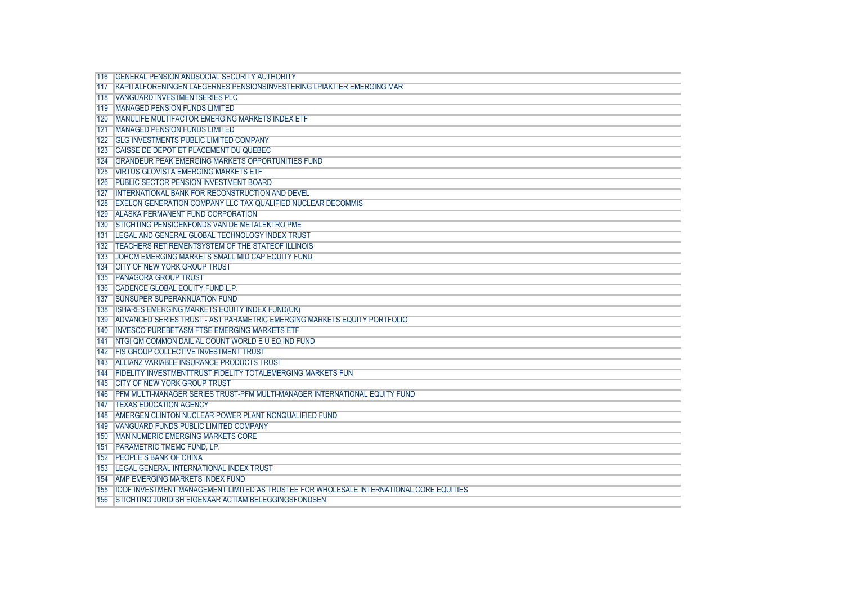|     | 116 GENERAL PENSION ANDSOCIAL SECURITY AUTHORITY                                              |
|-----|-----------------------------------------------------------------------------------------------|
|     | 117 KAPITALFORENINGEN LAEGERNES PENSIONSINVESTERING LPIAKTIER EMERGING MAR                    |
|     | 118 VANGUARD INVESTMENTSERIES PLC                                                             |
|     | 119 MANAGED PENSION FUNDS LIMITED                                                             |
|     | 120 MANULIFE MULTIFACTOR EMERGING MARKETS INDEX ETF                                           |
|     | 121 MANAGED PENSION FUNDS LIMITED                                                             |
|     | 122 GLG INVESTMENTS PUBLIC LIMITED COMPANY                                                    |
|     | 123   CAISSE DE DEPOT ET PLACEMENT DU QUEBEC                                                  |
|     | 124 GRANDEUR PEAK EMERGING MARKETS OPPORTUNITIES FUND                                         |
|     | 125 VIRTUS GLOVISTA EMERGING MARKETS ETF                                                      |
|     | 126 PUBLIC SECTOR PENSION INVESTMENT BOARD                                                    |
|     | 127 INTERNATIONAL BANK FOR RECONSTRUCTION AND DEVEL                                           |
|     | 128 EXELON GENERATION COMPANY LLC TAX QUALIFIED NUCLEAR DECOMMIS                              |
|     | 129 ALASKA PERMANENT FUND CORPORATION                                                         |
|     | 130 STICHTING PENSIOENFONDS VAN DE METALEKTRO PME                                             |
|     | 131 LEGAL AND GENERAL GLOBAL TECHNOLOGY INDEX TRUST                                           |
|     | 132 TEACHERS RETIREMENTSYSTEM OF THE STATEOF ILLINOIS                                         |
|     | 133 JOHCM EMERGING MARKETS SMALL MID CAP EQUITY FUND                                          |
|     | 134 CITY OF NEW YORK GROUP TRUST                                                              |
|     | 135 PANAGORA GROUP TRUST                                                                      |
|     | 136 CADENCE GLOBAL EQUITY FUND L.P.                                                           |
|     | 137 ISUNSUPER SUPERANNUATION FUND                                                             |
|     | 138 ISHARES EMERGING MARKETS EQUITY INDEX FUND(UK)                                            |
|     | 139 ADVANCED SERIES TRUST - AST PARAMETRIC EMERGING MARKETS EQUITY PORTFOLIO                  |
|     | 140 INVESCO PUREBETASM FTSE EMERGING MARKETS ETF                                              |
| 141 | INTGI QM COMMON DAIL AL COUNT WORLD E U EQ IND FUND                                           |
|     | 142 FIS GROUP COLLECTIVE INVESTMENT TRUST                                                     |
|     | 143 ALLIANZ VARIABLE INSURANCE PRODUCTS TRUST                                                 |
|     | 144 FIDELITY INVESTMENTTRUST.FIDELITY TOTALEMERGING MARKETS FUN                               |
|     | 145 ICITY OF NEW YORK GROUP TRUST                                                             |
|     | 146 PFM MULTI-MANAGER SERIES TRUST-PFM MULTI-MANAGER INTERNATIONAL EQUITY FUND                |
|     | <b>147 TEXAS EDUCATION AGENCY</b>                                                             |
|     | 148 AMERGEN CLINTON NUCLEAR POWER PLANT NONQUALIFIED FUND                                     |
|     | 149 VANGUARD FUNDS PUBLIC LIMITED COMPANY                                                     |
|     | <b>150 IMAN NUMERIC EMERGING MARKETS CORE</b>                                                 |
|     | 151 PARAMETRIC TMEMC FUND, LP.                                                                |
|     | 152 PEOPLE S BANK OF CHINA                                                                    |
|     | 153 LEGAL GENERAL INTERNATIONAL INDEX TRUST                                                   |
|     | 154 JAMP EMERGING MARKETS INDEX FUND                                                          |
|     | 155   IOOF INVESTMENT MANAGEMENT LIMITED AS TRUSTEE FOR WHOLESALE INTERNATIONAL CORE EQUITIES |
|     | 156 STICHTING JURIDISH EIGENAAR ACTIAM BELEGGINGSFONDSEN                                      |
|     |                                                                                               |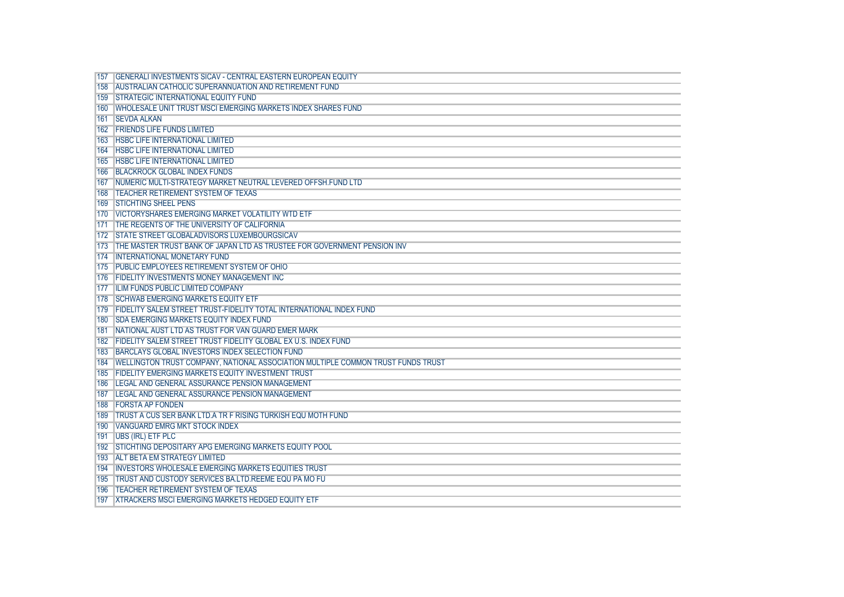|     | <b>GENERALLINVESTMENTS SICAV - CENTRAL EASTERN EUROPEAN EQUITY</b>                     |
|-----|----------------------------------------------------------------------------------------|
|     | 158 AUSTRALIAN CATHOLIC SUPERANNUATION AND RETIREMENT FUND                             |
|     |                                                                                        |
|     | 159 STRATEGIC INTERNATIONAL EQUITY FUND                                                |
|     | 160 IWHOLESALE UNIT TRUST MSCI EMERGING MARKETS INDEX SHARES FUND                      |
|     | 161 ISEVDA ALKAN                                                                       |
|     | 162 FRIENDS LIFE FUNDS LIMITED                                                         |
|     | <b>163 HSBC LIFE INTERNATIONAL LIMITED</b>                                             |
|     | 164   HSBC LIFE INTERNATIONAL LIMITED                                                  |
|     | <b>165 HSBC LIFE INTERNATIONAL LIMITED</b>                                             |
|     | 166 BLACKROCK GLOBAL INDEX FUNDS                                                       |
|     | 167 INUMERIC MULTI-STRATEGY MARKET NEUTRAL LEVERED OFFSH.FUND LTD                      |
|     | 168 TEACHER RETIREMENT SYSTEM OF TEXAS                                                 |
|     | 169 STICHTING SHEEL PENS                                                               |
|     | 170 IVICTORYSHARES EMERGING MARKET VOLATILITY WTD ETF                                  |
|     | 171 THE REGENTS OF THE UNIVERSITY OF CALIFORNIA                                        |
|     | 172 STATE STREET GLOBALADVISORS LUXEMBOURGSICAV                                        |
|     | 173 THE MASTER TRUST BANK OF JAPAN LTD AS TRUSTEE FOR GOVERNMENT PENSION INV           |
|     | 174 INTERNATIONAL MONETARY FUND                                                        |
|     | 175 PUBLIC EMPLOYEES RETIREMENT SYSTEM OF OHIO                                         |
|     | 176 FIDELITY INVESTMENTS MONEY MANAGEMENT INC                                          |
|     | 177 ILIM FUNDS PUBLIC LIMITED COMPANY                                                  |
|     | 178 SCHWAB EMERGING MARKETS EQUITY ETF                                                 |
|     | 179 FIDELITY SALEM STREET TRUST-FIDELITY TOTAL INTERNATIONAL INDEX FUND                |
|     | 180 SDA EMERGING MARKETS EQUITY INDEX FUND                                             |
|     | 181 NATIONAL AUST LTD AS TRUST FOR VAN GUARD EMER MARK                                 |
|     | 182 FIDELITY SALEM STREET TRUST FIDELITY GLOBAL EX U.S. INDEX FUND                     |
|     | 183 BARCLAYS GLOBAL INVESTORS INDEX SELECTION FUND                                     |
|     | 184   WELLINGTON TRUST COMPANY, NATIONAL ASSOCIATION MULTIPLE COMMON TRUST FUNDS TRUST |
|     | 185 FIDELITY EMERGING MARKETS EQUITY INVESTMENT TRUST                                  |
| 186 | <b>ILEGAL AND GENERAL ASSURANCE PENSION MANAGEMENT</b>                                 |
|     | 187 ILEGAL AND GENERAL ASSURANCE PENSION MANAGEMENT                                    |
|     | <b>188 IFORSTA AP FONDEN</b>                                                           |
|     | 189 TRUST A CUS SER BANK LTD.A TR F RISING TURKISH EQU MOTH FUND                       |
|     | 190 VANGUARD EMRG MKT STOCK INDEX                                                      |
|     | 191   UBS (IRL) ETF PLC                                                                |
|     | 192 STICHTING DEPOSITARY APG EMERGING MARKETS EQUITY POOL                              |
|     | <b>193 ALT BETA EM STRATEGY LIMITED</b>                                                |
|     | 194 INVESTORS WHOLESALE EMERGING MARKETS EQUITIES TRUST                                |
|     | 195 TRUST AND CUSTODY SERVICES BA.LTD.REEME EQU PA MO FU                               |
|     | 196 TEACHER RETIREMENT SYSTEM OF TEXAS                                                 |
|     | 197 XTRACKERS MSCLEMERGING MARKETS HEDGED EQUITY ETF                                   |
|     |                                                                                        |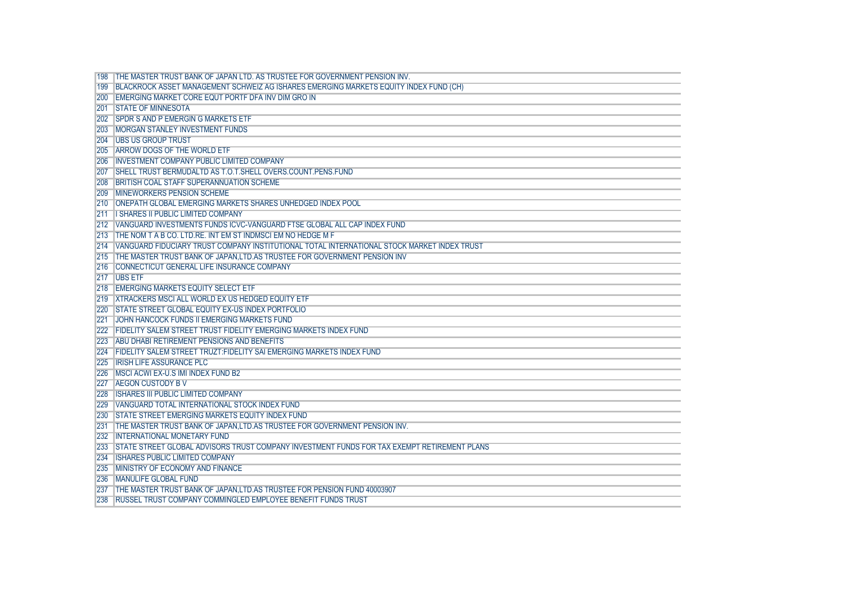|     | THE MASTER TRUST BANK OF JAPAN LTD. AS TRUSTEE FOR GOVERNMENT PENSION INV.                    |
|-----|-----------------------------------------------------------------------------------------------|
| 199 | BLACKROCK ASSET MANAGEMENT SCHWEIZ AG ISHARES EMERGING MARKETS EQUITY INDEX FUND (CH)         |
| 200 | <b>LEMERGING MARKET CORE EQUT PORTE DFA INV DIM GRO IN</b>                                    |
| 201 | <b>ISTATE OF MINNESOTA</b>                                                                    |
| 202 | <b>ISPDR S AND P EMERGIN G MARKETS ETF</b>                                                    |
| 203 | <b>MORGAN STANLEY INVESTMENT FUNDS</b>                                                        |
|     | 204 I UBS US GROUP TRUST                                                                      |
| 205 | ARROW DOGS OF THE WORLD ETF                                                                   |
|     | <b>INVESTMENT COMPANY PUBLIC LIMITED COMPANY</b>                                              |
|     | ISHELL TRUST BERMUDALTD AS T.O.T.SHELL OVERS.COUNT.PENS.FUND                                  |
|     |                                                                                               |
| 208 | <b>IBRITISH COAL STAFF SUPERANNUATION SCHEME</b>                                              |
| 209 | <b>IMINEWORKERS PENSION SCHEME</b>                                                            |
| 210 | <b>ONEPATH GLOBAL EMERGING MARKETS SHARES UNHEDGED INDEX POOL</b>                             |
| 211 | <b>II SHARES II PUBLIC LIMITED COMPANY</b>                                                    |
|     | 212 VANGUARD INVESTMENTS FUNDS ICVC-VANGUARD FTSE GLOBAL ALL CAP INDEX FUND                   |
| 213 | THE NOM TAB CO. LTD.RE. INT EM ST INDMSCI EM NO HEDGE M F                                     |
| 214 | I VANGUARD FIDUCIARY TRUST COMPANY INSTITUTIONAL TOTAL INTERNATIONAL STOCK MARKET INDEX TRUST |
| 215 | THE MASTER TRUST BANK OF JAPAN, LTD.AS TRUSTEE FOR GOVERNMENT PENSION INV                     |
| 216 | <b>I CONNECTICUT GENERAL LIFE INSURANCE COMPANY</b>                                           |
|     | 217 UBS ETF                                                                                   |
| 218 | <b>EMERGING MARKETS EQUITY SELECT ETF</b>                                                     |
| 219 | <b>XTRACKERS MSCI ALL WORLD EX US HEDGED EQUITY ETF</b>                                       |
| 220 | <b>STATE STREET GLOBAL EQUITY EX-US INDEX PORTFOLIO</b>                                       |
|     | <b>JOHN HANCOCK FUNDS II EMERGING MARKETS FUND</b>                                            |
| 222 | <b>FIDELITY SALEM STREET TRUST FIDELITY EMERGING MARKETS INDEX FUND</b>                       |
| 223 | ABU DHABI RETIREMENT PENSIONS AND BENEFITS                                                    |
| 224 | <b>FIDELITY SALEM STREET TRUZT:FIDELITY SAI EMERGING MARKETS INDEX FUND</b>                   |
| 225 | <b>TIRISH LIFE ASSURANCE PLC</b>                                                              |
| 226 | <b>IMSCI ACWI EX-U.S IMI INDEX FUND B2</b>                                                    |
| 227 | <b>AEGON CUSTODY BV</b>                                                                       |
| 228 | <b>ISHARES III PUBLIC LIMITED COMPANY</b>                                                     |
| 229 | VANGUARD TOTAL INTERNATIONAL STOCK INDEX FUND                                                 |
| 230 | <b>STATE STREET EMERGING MARKETS EQUITY INDEX FUND</b>                                        |
| 231 | THE MASTER TRUST BANK OF JAPAN.LTD.AS TRUSTEE FOR GOVERNMENT PENSION INV.                     |
| 232 | <b>INTERNATIONAL MONETARY FUND</b>                                                            |
| 233 | ISTATE STREET GLOBAL ADVISORS TRUST COMPANY INVESTMENT FUNDS FOR TAX EXEMPT RETIREMENT PLANS  |
| 234 | <b>ISHARES PUBLIC LIMITED COMPANY</b>                                                         |
| 235 | <b>IMINISTRY OF ECONOMY AND FINANCE</b>                                                       |
| 236 | <b>MANULIFE GLOBAL FUND</b>                                                                   |
|     | THE MASTER TRUST BANK OF JAPAN.LTD.AS TRUSTEE FOR PENSION FUND 40003907                       |
| 238 | <b>RUSSEL TRUST COMPANY COMMINGLED EMPLOYEE BENEFIT FUNDS TRUST</b>                           |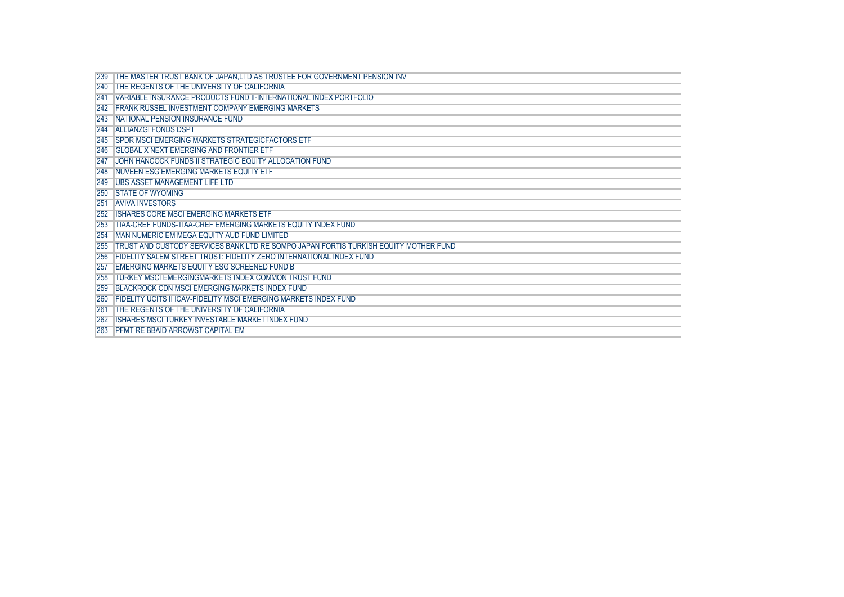| <b>239</b> | THE MASTER TRUST BANK OF JAPAN,LTD AS TRUSTEE FOR GOVERNMENT PENSION INV             |
|------------|--------------------------------------------------------------------------------------|
| 240        | <b>THE REGENTS OF THE UNIVERSITY OF CALIFORNIA</b>                                   |
| 241        | VARIABLE INSURANCE PRODUCTS FUND II-INTERNATIONAL INDEX PORTFOLIO                    |
| 242        | <b>FRANK RUSSEL INVESTMENT COMPANY EMERGING MARKETS</b>                              |
| 243        | <b>NATIONAL PENSION INSURANCE FUND</b>                                               |
|            | 244 ALLIANZGI FONDS DSPT                                                             |
|            | 245 SPDR MSCLEMERGING MARKETS STRATEGICFACTORS ETF                                   |
|            | 246 GLOBAL X NEXT EMERGING AND FRONTIER ETF                                          |
| 247        | JOHN HANCOCK FUNDS II STRATEGIC EQUITY ALLOCATION FUND                               |
|            | 248 NUVEEN ESG EMERGING MARKETS EQUITY ETF                                           |
|            | 249 UBS ASSET MANAGEMENT LIFE LTD                                                    |
| 250        | <b>ISTATE OF WYOMING</b>                                                             |
| 251        | <b>AVIVA INVESTORS</b>                                                               |
| 252        | <b>IISHARES CORE MSCLEMERGING MARKETS ETF</b>                                        |
| <b>253</b> | <b>TIAA-CREF FUNDS-TIAA-CREF EMERGING MARKETS EQUITY INDEX FUND</b>                  |
| 254        | <b>IMAN NUMERIC EM MEGA EQUITY AUD FUND LIMITED</b>                                  |
| 255        | TRUST AND CUSTODY SERVICES BANK LTD RE SOMPO JAPAN FORTIS TURKISH EQUITY MOTHER FUND |
| 256        | TFIDELITY SALEM STREET TRUST: FIDELITY ZERO INTERNATIONAL INDEX FUND                 |
| 257        | <b>IEMERGING MARKETS EQUITY ESG SCREENED FUND B</b>                                  |
| <b>258</b> | <b>TURKEY MSCI EMERGINGMARKETS INDEX COMMON TRUST FUND</b>                           |
| 259        | <b>BLACKROCK CDN MSCI EMERGING MARKETS INDEX FUND</b>                                |
| <b>260</b> | <b>TFIDELITY UCITS II ICAV-FIDELITY MSCLEMERGING MARKETS INDEX FUND</b>              |
| 261        | <b>THE REGENTS OF THE UNIVERSITY OF CALIFORNIA</b>                                   |
| 262        | <b>ISHARES MSCI TURKEY INVESTABLE MARKET INDEX FUND</b>                              |
| <b>263</b> | <b>PFMT RE BBAID ARROWST CAPITAL EM</b>                                              |
|            |                                                                                      |